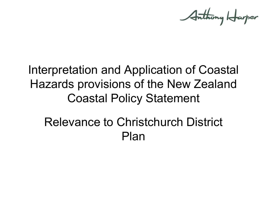Anthony Harper

# Interpretation and Application of Coastal Hazards provisions of the New Zealand Coastal Policy Statement

# Relevance to Christchurch District Plan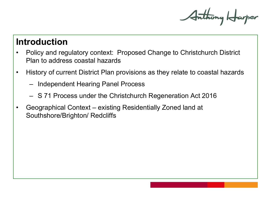Anthony Harper

#### **Introduction**

- Policy and regulatory context: Proposed Change to Christchurch District Plan to address coastal hazards
- History of current District Plan provisions as they relate to coastal hazards
	- Independent Hearing Panel Process
	- S 71 Process under the Christchurch Regeneration Act 2016
- Geographical Context existing Residentially Zoned land at Southshore/Brighton/ Redcliffs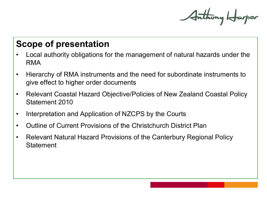Anthony Harper

### **Scope of presentation**

- Local authority obligations for the management of natural hazards under the RMA
- Hierarchy of RMA instruments and the need for subordinate instruments to give effect to higher order documents
- Relevant Coastal Hazard Objective/Policies of New Zealand Coastal Policy Statement 2010
- Interpretation and Application of NZCPS by the Courts
- Outline of Current Provisions of the Christchurch District Plan
- Relevant Natural Hazard Provisions of the Canterbury Regional Policy **Statement**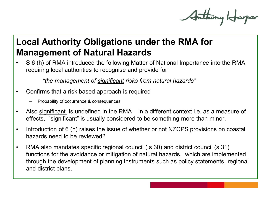Anthony Harper

# **Local Authority Obligations under the RMA for Management of Natural Hazards**

• S 6 (h) of RMA introduced the following Matter of National Importance into the RMA, requiring local authorities to recognise and provide for:

*"the management of significant risks from natural hazards"*

- Confirms that a risk based approach is required
	- Probability of occurrence & consequences
- Also significant is undefined in the RMA in a different context i.e. as a measure of effects, "significant" is usually considered to be something more than minor.
- Introduction of 6 (h) raises the issue of whether or not NZCPS provisions on coastal hazards need to be reviewed?
- RMA also mandates specific regional council (s 30) and district council (s 31) functions for the avoidance or mitigation of natural hazards, which are implemented through the development of planning instruments such as policy statements, regional and district plans.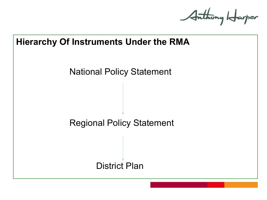Anthony Harper

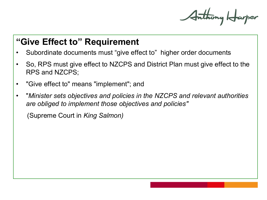Anthony Harper

### **"Give Effect to" Requirement**

- Subordinate documents must "give effect to" higher order documents
- So, RPS must give effect to NZCPS and District Plan must give effect to the RPS and NZCPS;
- "Give effect to" means "implement"; and
- "*Minister sets objectives and policies in the NZCPS and relevant authorities are obliged to implement those objectives and policies"*

(Supreme Court in *King Salmon)*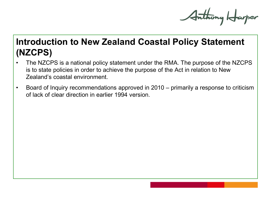Anthony Harper

# **Introduction to New Zealand Coastal Policy Statement (NZCPS)**

- The NZCPS is a national policy statement under the RMA. The purpose of the NZCPS is to state policies in order to achieve the purpose of the Act in relation to New Zealand's coastal environment.
- Board of Inquiry recommendations approved in 2010 primarily a response to criticism of lack of clear direction in earlier 1994 version.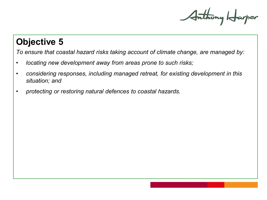Anthony Harper

### **Objective 5**

*To ensure that coastal hazard risks taking account of climate change, are managed by:* 

- *locating new development away from areas prone to such risks;*
- *considering responses, including managed retreat, for existing development in this situation; and*
- *protecting or restoring natural defences to coastal hazards.*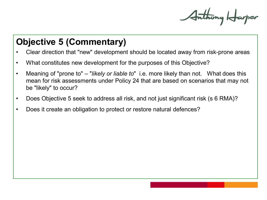Anthony Harper

# **Objective 5 (Commentary)**

- Clear direction that "new" development should be located away from risk-prone areas
- What constitutes new development for the purposes of this Objective?
- Meaning of "prone to" "*likely or liable to*" i.e. more likely than not. What does this mean for risk assessments under Policy 24 that are based on scenarios that may not be "likely" to occur?
- Does Objective 5 seek to address all risk, and not just significant risk (s 6 RMA)?
- Does it create an obligation to protect or restore natural defences?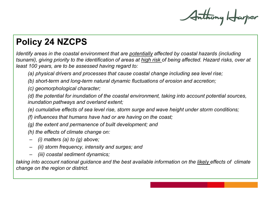Anthony Harper

# **Policy 24 NZCPS**

*Identify areas in the coastal environment that are potentially affected by coastal hazards (including tsunami), giving priority to the identification of areas at high risk of being affected. Hazard risks, over at least 100 years, are to be assessed having regard to:*

*(a) physical drivers and processes that cause coastal change including sea level rise;* 

*(b) short-term and long-term natural dynamic fluctuations of erosion and accretion;* 

*(c) geomorphological character;* 

*(d) the potential for inundation of the coastal environment, taking into account potential sources, inundation pathways and overland extent;* 

*(e) cumulative effects of sea level rise, storm surge and wave height under storm conditions;* 

*(f) influences that humans have had or are having on the coast;* 

*(g) the extent and permanence of built development; and* 

*(h) the effects of climate change on:* 

- *(i) matters (a) to (g) above;*
- *(ii) storm frequency, intensity and surges; and*
- *(iii) coastal sediment dynamics;*

*taking into account national guidance and the best available information on the likely effects of climate change on the region or district.*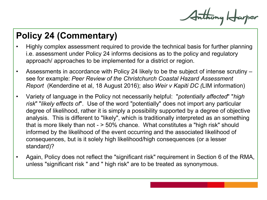Anthony Harper

# **Policy 24 (Commentary)**

- Highly complex assessment required to provide the technical basis for further planning i.e. assessment under Policy 24 informs decisions as to the policy and regulatory approach/ approaches to be implemented for a district or region.
- Assessments in accordance with Policy 24 likely to be the subject of intense scrutiny see for example: *Peer Review of the Christchurch Coastal Hazard Assessment Report* (Kenderdine et al, 18 August 2016); also *Weir v Kapiti DC (*LIM information)
- Variety of language in the Policy not necessarily helpful: "*potentially affected*" "*high risk*" "*likely effects of*". Use of the word "potentially" does not import any particular degree of likelihood, rather it is simply a possibility supported by a degree of objective analysis. This is different to "likely", which is traditionally interpreted as an something that is more likely than not - > 50% chance. What constitutes a "high risk" should informed by the likelihood of the event occurring and the associated likelihood of consequences, but is it solely high likelihood/high consequences (or a lesser standard)?
- Again, Policy does not reflect the "significant risk" requirement in Section 6 of the RMA, unless "significant risk " and " high risk" are to be treated as synonymous.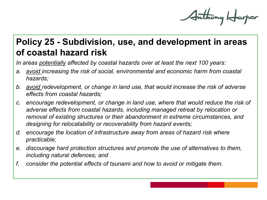Anthony Harper

# **Policy 25 - Subdivision, use, and development in areas of coastal hazard risk**

*In areas potentially affected by coastal hazards over at least the next 100 years:*

- *a. avoid increasing the risk of social, environmental and economic harm from coastal hazards;*
- *b. avoid redevelopment, or change in land use, that would increase the risk of adverse effects from coastal hazards;*
- *c. encourage redevelopment, or change in land use, where that would reduce the risk of adverse effects from coastal hazards, including managed retreat by relocation or removal of existing structures or their abandonment in extreme circumstances, and designing for relocatability or recoverability from hazard events;*
- *d. encourage the location of infrastructure away from areas of hazard risk where practicable;*
- *e. discourage hard protection structures and promote the use of alternatives to them, including natural defences; and*
- *f. consider the potential effects of tsunami and how to avoid or mitigate them.*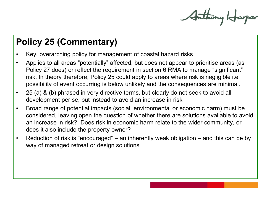Anthony Harper

# **Policy 25 (Commentary)**

- Key, overarching policy for management of coastal hazard risks
- Applies to all areas "potentially" affected, but does not appear to prioritise areas (as Policy 27 does) or reflect the requirement in section 6 RMA to manage "significant" risk. In theory therefore, Policy 25 could apply to areas where risk is negligible i.e possibility of event occurring is below unlikely and the consequences are minimal.
- 25 (a) & (b) phrased in very directive terms, but clearly do not seek to avoid all development per se, but instead to avoid an increase in risk
- Broad range of potential impacts (social, environmental or economic harm) must be considered, leaving open the question of whether there are solutions available to avoid an increase in risk? Does risk in economic harm relate to the wider community, or does it also include the property owner?
- Reduction of risk is "encouraged" an inherently weak obligation and this can be by way of managed retreat or design solutions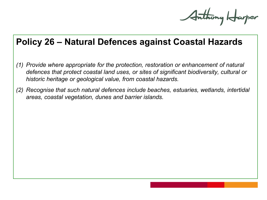Anthony Harper

#### **Policy 26 – Natural Defences against Coastal Hazards**

- *(1) Provide where appropriate for the protection, restoration or enhancement of natural defences that protect coastal land uses, or sites of significant biodiversity, cultural or historic heritage or geological value, from coastal hazards.*
- *(2) Recognise that such natural defences include beaches, estuaries, wetlands, intertidal areas, coastal vegetation, dunes and barrier islands.*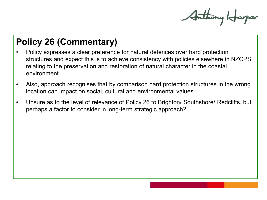Anthony Harper

# **Policy 26 (Commentary)**

- Policy expresses a clear preference for natural defences over hard protection structures and expect this is to achieve consistency with policies elsewhere in NZCPS relating to the preservation and restoration of natural character in the coastal environment
- Also, approach recognises that by comparison hard protection structures in the wrong location can impact on social, cultural and environmental values
- Unsure as to the level of relevance of Policy 26 to Brighton/ Southshore/ Redcliffs, but perhaps a factor to consider in long-term strategic approach?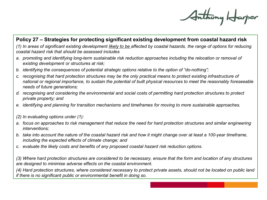Anthony Harper

#### **Policy 27 – Strategies for protecting significant existing development from coastal hazard risk**

*(1) In areas of significant existing development likely to be affected by coastal hazards, the range of options for reducing coastal hazard risk that should be assessed includes*

- *a. promoting and identifying long-term sustainable risk reduction approaches including the relocation or removal of existing development or structures at risk;*
- *b. identifying the consequences of potential strategic options relative to the option of "do-nothing";*
- *c. recognising that hard protection structures may be the only practical means to protect existing infrastructure of national or regional importance, to sustain the potential of built physical resources to meet the reasonably foreseeable needs of future generations;*
- *d. recognising and considering the environmental and social costs of permitting hard protection structures to protect private property; and*
- *e. identifying and planning for transition mechanisms and timeframes for moving to more sustainable approaches.*

*(2) In evaluating options under (1):*

- *a. focus on approaches to risk management that reduce the need for hard protection structures and similar engineering interventions;*
- *b. take into account the nature of the coastal hazard risk and how it might change over at least a 100-year timeframe, including the expected effects of climate change; and*
- *c. evaluate the likely costs and benefits of any proposed coastal hazard risk reduction options.*

*(3) Where hard protection structures are considered to be necessary, ensure that the form and location of any structures are designed to minimise adverse effects on the coastal environment.*

*(4) Hard protection structures, where considered necessary to protect private assets, should not be located on public land if there is no significant public or environmental benefit in doing so.*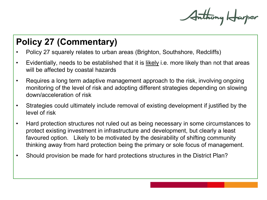Anthony Harper

# **Policy 27 (Commentary)**

- Policy 27 squarely relates to urban areas (Brighton, Southshore, Redcliffs)
- Evidentially, needs to be established that it is likely i.e. more likely than not that areas will be affected by coastal hazards
- Requires a long term adaptive management approach to the risk, involving ongoing monitoring of the level of risk and adopting different strategies depending on slowing down/acceleration of risk
- Strategies could ultimately include removal of existing development if justified by the level of risk
- Hard protection structures not ruled out as being necessary in some circumstances to protect existing investment in infrastructure and development, but clearly a least favoured option. Likely to be motivated by the desirability of shifting community thinking away from hard protection being the primary or sole focus of management.
- Should provision be made for hard protections structures in the District Plan?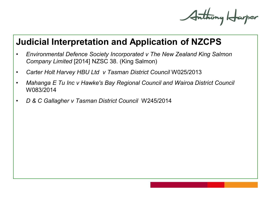Anthony Harper

#### **Judicial Interpretation and Application of NZCPS**

- *Environmental Defence Society Incorporated v The New Zealand King Salmon Company Limited* [2014] NZSC 38. (King Salmon)
- *Carter Holt Harvey HBU Ltd v Tasman District Council* W025/2013
- *Mahanga E Tu Inc v Hawke's Bay Regional Council and Wairoa District Council*  W083/2014
- *D & C Gallagher v Tasman District Council* W245/2014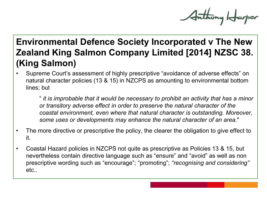Anthony Harper

# **Environmental Defence Society Incorporated v The New Zealand King Salmon Company Limited [2014] NZSC 38. (King Salmon)**

• Supreme Court's assessment of highly prescriptive "avoidance of adverse effects" on natural character policies (13 & 15) in NZCPS as amounting to environmental bottom lines; but

" *it is improbable that it would be necessary to prohibit an activity that has a minor or transitory adverse effect in order to preserve the natural character of the coastal environment, even where that natural character is outstanding. Moreover, some uses or developments may enhance the natural character of an area.*"

- The more directive or prescriptive the policy, the clearer the obligation to give effect to it.
- Coastal Hazard policies in NZCPS not quite as prescriptive as Policies 13 & 15, but nevertheless contain directive language such as "ensure" and "avoid" as well as non prescriptive wording such as "encourage"; "promoting"; *"recognising and considering"*  etc..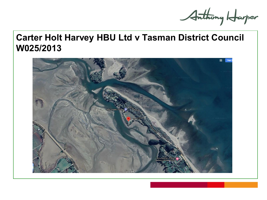Anthony Harper

## **Carter Holt Harvey HBU Ltd v Tasman District Council W025/2013**

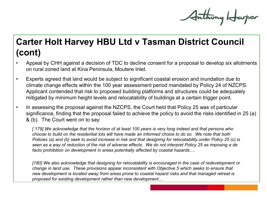Anthony Harper

# **Carter Holt Harvey HBU Ltd v Tasman District Council (cont)**

- Appeal by CHH against a decision of TDC to decline consent for a proposal to develop six allotments on rural zoned land at Kina Peninsula, Moutere Inlet.
- Experts agreed that land would be subject to significant coastal erosion and inundation due to climate change effects within the 100 year assessment period mandated by Policy 24 of NZCPS. Applicant contended that risk to proposed building platforms and structures could be adequately mitigated by minimum height levels and relocatability of buildings at a certain trigger point.
- In assessing the proposal against the NZCPS, the Court held that Policy 25 was of particular significance, finding that the proposal failed to achieve the policy to avoid the risks identified in 25 (a) & (b). The Court went on to say:

*[ 179] We acknowledge that the horizon of at least 100 years is very long indeed and that persons who choose to build on the residential lots will have made an informed choice to do so. We note that both Policies (a) and (b) seek to avoid increase in risk and that designing for relocatability under Policy 25 (c) is seen as a way of reduction of the risk of adverse effects. We do not interpret Policy 25 as imposing a de facto prohibition on development in areas potentially affected by coastal hazards….*

*[180] We also acknowledge that designing for relocatability is encouraged in the case of redevelopment or change in land use. These provisions appear inconsistent with Objective 5 which seeks to ensure that new development is located away from areas prone to coastal hazard risks and that managed retreat is proposed for existing development rather than new development…*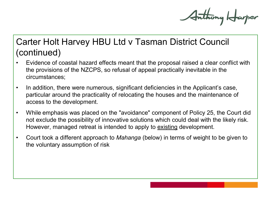Anthony Harper

# Carter Holt Harvey HBU Ltd v Tasman District Council (continued)

- Evidence of coastal hazard effects meant that the proposal raised a clear conflict with the provisions of the NZCPS, so refusal of appeal practically inevitable in the circumstances;
- In addition, there were numerous, significant deficiencies in the Applicant's case, particular around the practicality of relocating the houses and the maintenance of access to the development.
- While emphasis was placed on the "avoidance" component of Policy 25, the Court did not exclude the possibility of innovative solutions which could deal with the likely risk. However, managed retreat is intended to apply to existing development.
- Court took a different approach to *Mahanga* (below) in terms of weight to be given to the voluntary assumption of risk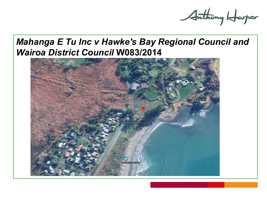Arthony Harper

### *Mahanga E Tu Inc v Hawke's Bay Regional Council and Wairoa District Council* **W083/2014**

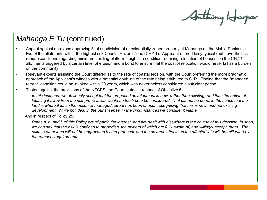Anthony Harper

#### *Mahanga E Tu* (continued)

- Appeal against decisions approving 5 lot subdivision of a residentially zoned property at Mahanga on the Mahia Peninsula two of the allotments within the highest risk Coastal Hazard Zone (CHZ 1). Applicant offered fairly typical (but nevertheless robust) conditions regarding minimum building platform heights, a condition requiring relocation of houses on the CHZ 1 allotments triggered by a certain level of erosion and a bond to ensure that the cost of relocation would never fall as a burden on the community.
- Relevant experts assisting the Court differed as to the rate of coastal erosion, with the Court preferring the more pragmatic approach of the Applicant's witness with a potential doubling of the rate being attributed to SLR. Finding that the "managed retreat" condition could be invoked within 20 years, which was nevertheless considered a sufficient period.
- Tested against the provisions of the NZCPS, the Court stated in respect of Objective 5:

*In this instance, we obviously accept that the proposed development is new, rather than existing, and thus the option of locating it away from the risk-prone areas would be the first to be considered. That cannot be done, in the sense that the* land is where it is, so the option of managed retreat has been chosen recognising that this is new, and not existing *development, While not ideal in the purist sense, in the circumstances we consider it viable.*

And in respect of Policy 25:

*Paras a. b. and f. of this Policy are of particular interest, and are dealt with elsewhere in the course of this decision, In short, we can say that the risk is confined to properties, the owners of which are fully aware of, and willingly accept, them. The risks to other land will not be aggravated by the proposal, and the adverse effects on the affected lots will be mitigated by the removal requirements.*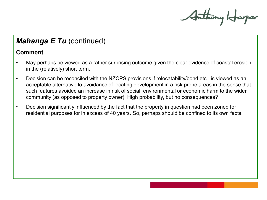Anthony Harper

#### *Mahanga E Tu* (continued)

#### **Comment**

- May perhaps be viewed as a rather surprising outcome given the clear evidence of coastal erosion in the (relatively) short term.
- Decision can be reconciled with the NZCPS provisions if relocatability/bond etc.. is viewed as an acceptable alternative to avoidance of locating development in a risk prone areas in the sense that such features avoided an increase in risk of social, environmental or economic harm to the wider community (as opposed to property owner). High probability, but no consequences?
- Decision significantly influenced by the fact that the property in question had been zoned for residential purposes for in excess of 40 years. So, perhaps should be confined to its own facts.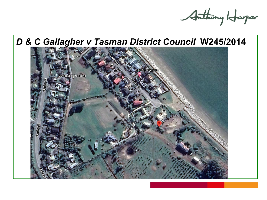Anthony Harper

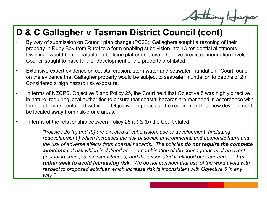# **D & C Gallagher v Tasman District Council (cont)**

- By way of submission on Council plan change (PC22), Gallaghers sought a rezoning of their property in Ruby Bay from Rural to a form enabling subdivision into 13 residential allotments. Dwellings would be relocatable on building platforms elevated above predicted inundation levels. Council sought to have further development of the property prohibited.
- Extensive expert evidence on coastal erosion, stormwater and seawater inundation. Court found on the evidence that Gallagher property would be subject to seawater inundation to depths of 2m. Considered a high hazard risk exposure.
- In terms of NZCPS, Objective 5 and Policy 25, the Court held that Objective 5 was highly directive in nature, requiring local authorities to ensure that coastal hazards are managed in accordance with the bullet points contained within the Objective, in particular the requirement that new development be located away from risk-prone areas.
- In terms of the relationship between Policy 25 (a) & (b) the Court stated:

*"Policies 25 (a) and (b) are directed at subdivision, use or development (including redevelopment ) which increases the risk of social, environmental and economic harm and the risk of adverse effects from coastal hazards. The policies do not require the complete avoidance of risk which is defined as … a combination of the consequences of an event (including changes in circumstances) and the associated likelihood of occurrence … but rather seek to avoid increasing risk. We do not consider that use of the word avoid with respect to proposed activities which increase risk is inconsistent with Objective 5 in any way."*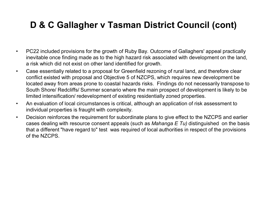# **D & C Gallagher v Tasman District Council (cont)**

- PC22 included provisions for the growth of Ruby Bay. Outcome of Gallaghers' appeal practically inevitable once finding made as to the high hazard risk associated with development on the land, a risk which did not exist on other land identified for growth.
- Case essentially related to a proposal for Greenfield rezoning of rural land, and therefore clear conflict existed with proposal and Objective 5 of NZCPS, which requires new development be located away from areas prone to coastal hazards risks. Findings do not necessarily transpose to South Shore/ Redcliffs/ Summer scenario where the main prospect of development is likely to be limited intensification/ redevelopment of existing residentially zoned properties.
- An evaluation of local circumstances is critical, although an application of risk assessment to individual properties is fraught with complexity.
- Decision reinforces the requirement for subordinate plans to give effect to the NZCPS and earlier cases dealing with resource consent appeals (such as *Mahanga E Tu)* distinguished on the basis that a different "have regard to" test was required of local authorities in respect of the provisions of the NZCPS.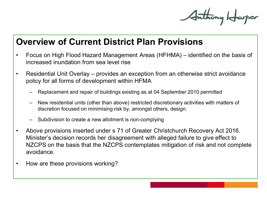Anthony Harper

#### **Overview of Current District Plan Provisions**

- Focus on High Flood Hazard Management Areas (HFHMA) identified on the basis of increased inundation from sea level rise
- Residential Unit Overlay provides an exception from an otherwise strict avoidance policy for all forms of development within HFMA
	- Replacement and repair of buildings existing as at 04 September 2010 permitted
	- New residential units (other than above) restricted discretionary activities with matters of discretion focused on minimising risk by, amongst others, design.
	- Subdivision to create a new allotment is non-complying
- Above provisions inserted under s 71 of Greater Christchurch Recovery Act 2016. Minister's decision records her disagreement with alleged failure to give effect to NZCPS on the basis that the NZCPS contemplates mitigation of risk and not complete avoidance.
- How are these provisions working?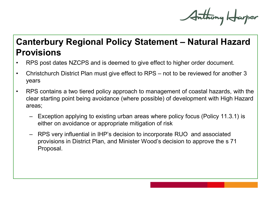Anthony Harper

# **Canterbury Regional Policy Statement – Natural Hazard Provisions**

- RPS post dates NZCPS and is deemed to give effect to higher order document.
- Christchurch District Plan must give effect to RPS not to be reviewed for another 3 years
- RPS contains a two tiered policy approach to management of coastal hazards, with the clear starting point being avoidance (where possible) of development with High Hazard areas;
	- Exception applying to existing urban areas where policy focus (Policy 11.3.1) is either on avoidance or appropriate mitigation of risk
	- RPS very influential in IHP's decision to incorporate RUO and associated provisions in District Plan, and Minister Wood's decision to approve the s 71 Proposal.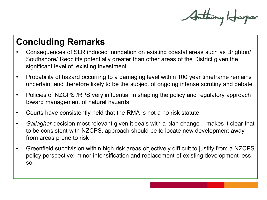Anthony Harper

# **Concluding Remarks**

- Consequences of SLR induced inundation on existing coastal areas such as Brighton/ Southshore/ Redcliffs potentially greater than other areas of the District given the significant level of existing investment
- Probability of hazard occurring to a damaging level within 100 year timeframe remains uncertain, and therefore likely to be the subject of ongoing intense scrutiny and debate
- Policies of NZCPS / RPS very influential in shaping the policy and regulatory approach toward management of natural hazards
- Courts have consistently held that the RMA is not a no risk statute
- *Gallagher* decision most relevant given it deals with a plan change makes it clear that to be consistent with NZCPS, approach should be to locate new development away from areas prone to risk
- Greenfield subdivision within high risk areas objectively difficult to justify from a NZCPS policy perspective; minor intensification and replacement of existing development less so.